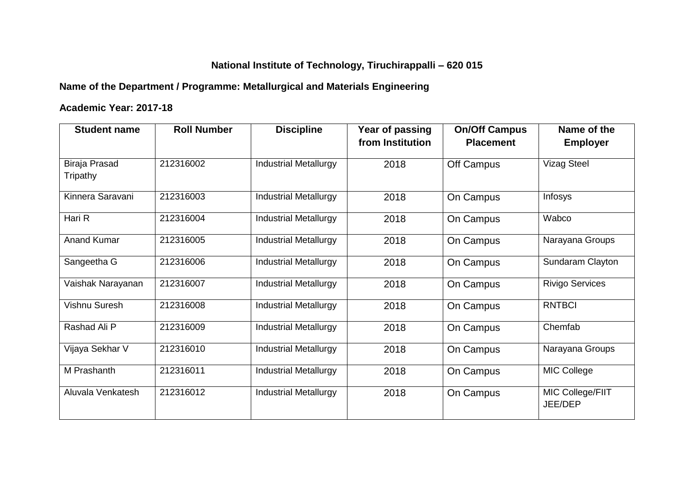# **National Institute of Technology, Tiruchirappalli – 620 015**

# **Name of the Department / Programme: Metallurgical and Materials Engineering**

### **Academic Year: 2017-18**

| <b>Student name</b>              | <b>Roll Number</b> | <b>Discipline</b>            | Year of passing  | <b>On/Off Campus</b> | Name of the                 |
|----------------------------------|--------------------|------------------------------|------------------|----------------------|-----------------------------|
|                                  |                    |                              | from Institution | <b>Placement</b>     | <b>Employer</b>             |
| <b>Biraja Prasad</b><br>Tripathy | 212316002          | <b>Industrial Metallurgy</b> | 2018             | Off Campus           | <b>Vizag Steel</b>          |
| Kinnera Saravani                 | 212316003          | <b>Industrial Metallurgy</b> | 2018             | On Campus            | Infosys                     |
| Hari R                           | 212316004          | <b>Industrial Metallurgy</b> | 2018             | On Campus            | Wabco                       |
| <b>Anand Kumar</b>               | 212316005          | <b>Industrial Metallurgy</b> | 2018             | On Campus            | Narayana Groups             |
| Sangeetha G                      | 212316006          | <b>Industrial Metallurgy</b> | 2018             | On Campus            | Sundaram Clayton            |
| Vaishak Narayanan                | 212316007          | <b>Industrial Metallurgy</b> | 2018             | On Campus            | <b>Rivigo Services</b>      |
| Vishnu Suresh                    | 212316008          | <b>Industrial Metallurgy</b> | 2018             | On Campus            | <b>RNTBCI</b>               |
| Rashad Ali P                     | 212316009          | <b>Industrial Metallurgy</b> | 2018             | On Campus            | Chemfab                     |
| Vijaya Sekhar V                  | 212316010          | <b>Industrial Metallurgy</b> | 2018             | On Campus            | Narayana Groups             |
| M Prashanth                      | 212316011          | <b>Industrial Metallurgy</b> | 2018             | On Campus            | <b>MIC College</b>          |
| Aluvala Venkatesh                | 212316012          | <b>Industrial Metallurgy</b> | 2018             | On Campus            | MIC College/FIIT<br>JEE/DEP |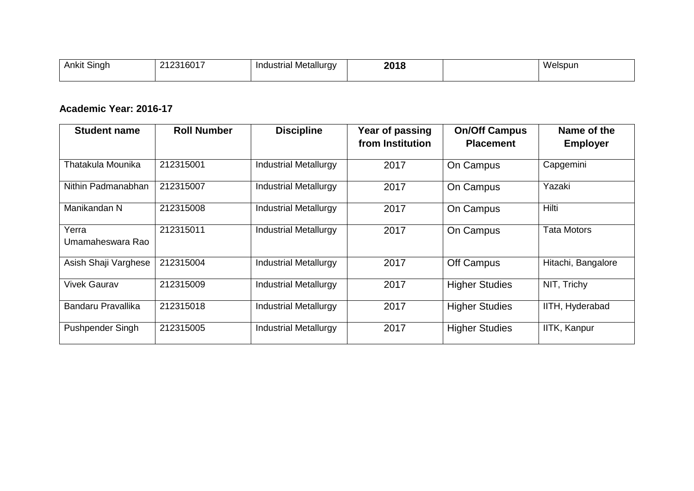| $\sim$<br>.<br>Ankit<br>Singh | !12316017 | Industrial Metallurgy<br>- - | 2018 | .<br>Welspun |
|-------------------------------|-----------|------------------------------|------|--------------|
|                               |           |                              |      |              |

### **Academic Year: 2016-17**

| <b>Student name</b>       | <b>Roll Number</b> | <b>Discipline</b>            | Year of passing<br>from Institution | <b>On/Off Campus</b><br><b>Placement</b> | Name of the<br><b>Employer</b> |
|---------------------------|--------------------|------------------------------|-------------------------------------|------------------------------------------|--------------------------------|
| Thatakula Mounika         | 212315001          | <b>Industrial Metallurgy</b> | 2017                                | On Campus                                | Capgemini                      |
| Nithin Padmanabhan        | 212315007          | <b>Industrial Metallurgy</b> | 2017                                | On Campus                                | Yazaki                         |
| Manikandan N              | 212315008          | <b>Industrial Metallurgy</b> | 2017                                | On Campus                                | Hilti                          |
| Yerra<br>Umamaheswara Rao | 212315011          | <b>Industrial Metallurgy</b> | 2017                                | On Campus                                | <b>Tata Motors</b>             |
| Asish Shaji Varghese      | 212315004          | <b>Industrial Metallurgy</b> | 2017                                | Off Campus                               | Hitachi, Bangalore             |
| <b>Vivek Gaurav</b>       | 212315009          | <b>Industrial Metallurgy</b> | 2017                                | <b>Higher Studies</b>                    | NIT, Trichy                    |
| Bandaru Pravallika        | 212315018          | <b>Industrial Metallurgy</b> | 2017                                | <b>Higher Studies</b>                    | IITH, Hyderabad                |
| Pushpender Singh          | 212315005          | <b>Industrial Metallurgy</b> | 2017                                | <b>Higher Studies</b>                    | IITK, Kanpur                   |